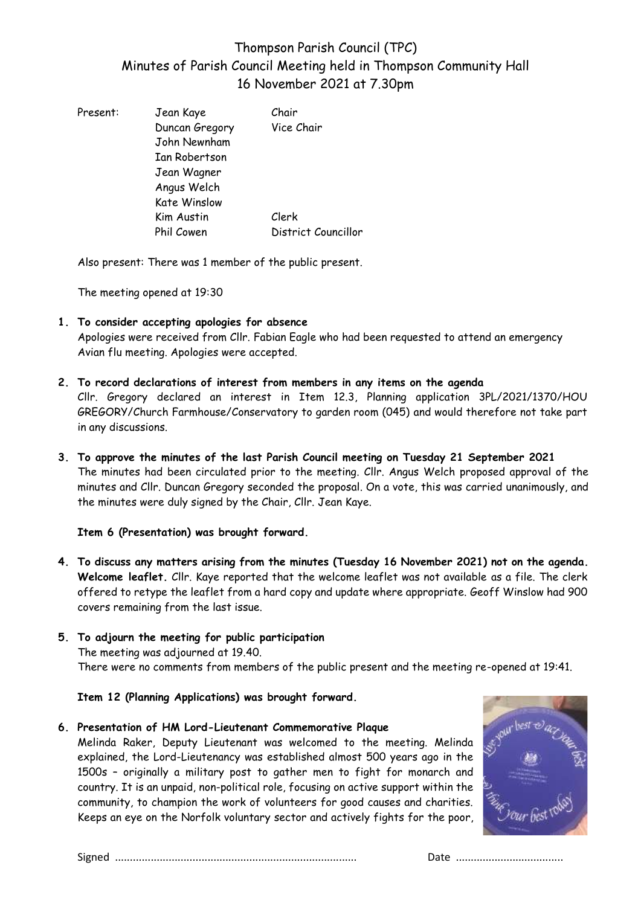# Thompson Parish Council (TPC) Minutes of Parish Council Meeting held in Thompson Community Hall 16 November 2021 at 7.30pm

| Present: | Jean Kaye<br>Duncan Gregory<br>John Newnham<br>Ian Robertson<br>Jean Wagner<br>Angus Welch | Chair<br>Vice Chair |
|----------|--------------------------------------------------------------------------------------------|---------------------|
|          | <b>Kate Winslow</b>                                                                        |                     |
|          | Kim Austin                                                                                 | Clerk               |
|          | Phil Cowen                                                                                 | District Councillor |

Also present: There was 1 member of the public present.

The meeting opened at 19:30

**1. To consider accepting apologies for absence**

Apologies were received from Cllr. Fabian Eagle who had been requested to attend an emergency Avian flu meeting. Apologies were accepted.

- **2. To record declarations of interest from members in any items on the agenda** Cllr. Gregory declared an interest in Item 12.3, Planning application 3PL/2021/1370/HOU GREGORY/Church Farmhouse/Conservatory to garden room (045) and would therefore not take part in any discussions.
- **3. To approve the minutes of the last Parish Council meeting on Tuesday 21 September 2021** The minutes had been circulated prior to the meeting. Cllr. Angus Welch proposed approval of the minutes and Cllr. Duncan Gregory seconded the proposal. On a vote, this was carried unanimously, and the minutes were duly signed by the Chair, Cllr. Jean Kaye.

# **Item 6 (Presentation) was brought forward.**

- **4. To discuss any matters arising from the minutes (Tuesday 16 November 2021) not on the agenda. Welcome leaflet.** Cllr. Kaye reported that the welcome leaflet was not available as a file. The clerk offered to retype the leaflet from a hard copy and update where appropriate. Geoff Winslow had 900 covers remaining from the last issue.
- **5. To adjourn the meeting for public participation**  The meeting was adjourned at 19.40. There were no comments from members of the public present and the meeting re-opened at 19:41.

**Item 12 (Planning Applications) was brought forward.**

**6. Presentation of HM Lord-Lieutenant Commemorative Plaque**

Melinda Raker, Deputy Lieutenant was welcomed to the meeting. Melinda explained, the Lord-Lieutenancy was established almost 500 years ago in the 1500s – originally a military post to gather men to fight for monarch and country. It is an unpaid, non-political role, focusing on active support within the community, to champion the work of volunteers for good causes and charities. Keeps an eye on the Norfolk voluntary sector and actively fights for the poor,

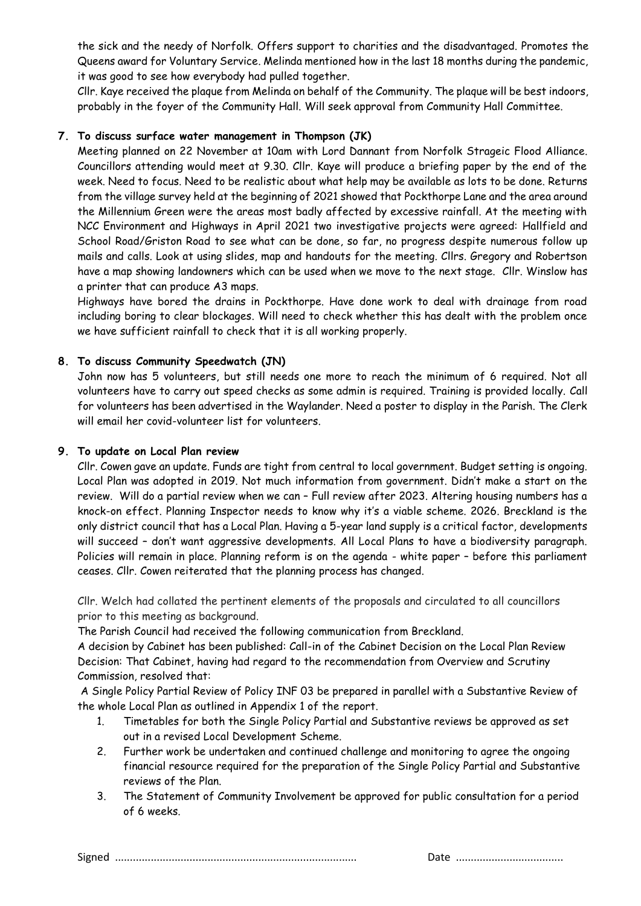the sick and the needy of Norfolk. Offers support to charities and the disadvantaged. Promotes the Queens award for Voluntary Service. Melinda mentioned how in the last 18 months during the pandemic, it was good to see how everybody had pulled together.

Cllr. Kaye received the plaque from Melinda on behalf of the Community. The plaque will be best indoors, probably in the foyer of the Community Hall. Will seek approval from Community Hall Committee.

# **7. To discuss surface water management in Thompson (JK)**

Meeting planned on 22 November at 10am with Lord Dannant from Norfolk Strageic Flood Alliance. Councillors attending would meet at 9.30. Cllr. Kaye will produce a briefing paper by the end of the week. Need to focus. Need to be realistic about what help may be available as lots to be done. Returns from the village survey held at the beginning of 2021 showed that Pockthorpe Lane and the area around the Millennium Green were the areas most badly affected by excessive rainfall. At the meeting with NCC Environment and Highways in April 2021 two investigative projects were agreed: Hallfield and School Road/Griston Road to see what can be done, so far, no progress despite numerous follow up mails and calls. Look at using slides, map and handouts for the meeting. Cllrs. Gregory and Robertson have a map showing landowners which can be used when we move to the next stage. Cllr. Winslow has a printer that can produce A3 maps.

Highways have bored the drains in Pockthorpe. Have done work to deal with drainage from road including boring to clear blockages. Will need to check whether this has dealt with the problem once we have sufficient rainfall to check that it is all working properly.

# **8. To discuss Community Speedwatch (JN)**

John now has 5 volunteers, but still needs one more to reach the minimum of 6 required. Not all volunteers have to carry out speed checks as some admin is required. Training is provided locally. Call for volunteers has been advertised in the Waylander. Need a poster to display in the Parish. The Clerk will email her covid-volunteer list for volunteers.

#### **9. To update on Local Plan review**

Cllr. Cowen gave an update. Funds are tight from central to local government. Budget setting is ongoing. Local Plan was adopted in 2019. Not much information from government. Didn't make a start on the review. Will do a partial review when we can – Full review after 2023. Altering housing numbers has a knock-on effect. Planning Inspector needs to know why it's a viable scheme. 2026. Breckland is the only district council that has a Local Plan. Having a 5-year land supply is a critical factor, developments will succeed – don't want aggressive developments. All Local Plans to have a biodiversity paragraph. Policies will remain in place. Planning reform is on the agenda - white paper – before this parliament ceases. Cllr. Cowen reiterated that the planning process has changed.

Cllr. Welch had collated the pertinent elements of the proposals and circulated to all councillors prior to this meeting as background.

The Parish Council had received the following communication from Breckland.

A decision by Cabinet has been published: Call-in of the Cabinet Decision on the Local Plan Review Decision: That Cabinet, having had regard to the recommendation from Overview and Scrutiny Commission, resolved that:

A Single Policy Partial Review of Policy INF 03 be prepared in parallel with a Substantive Review of the whole Local Plan as outlined in Appendix 1 of the report.

- 1. Timetables for both the Single Policy Partial and Substantive reviews be approved as set out in a revised Local Development Scheme.
- 2. Further work be undertaken and continued challenge and monitoring to agree the ongoing financial resource required for the preparation of the Single Policy Partial and Substantive reviews of the Plan.
- 3. The Statement of Community Involvement be approved for public consultation for a period of 6 weeks.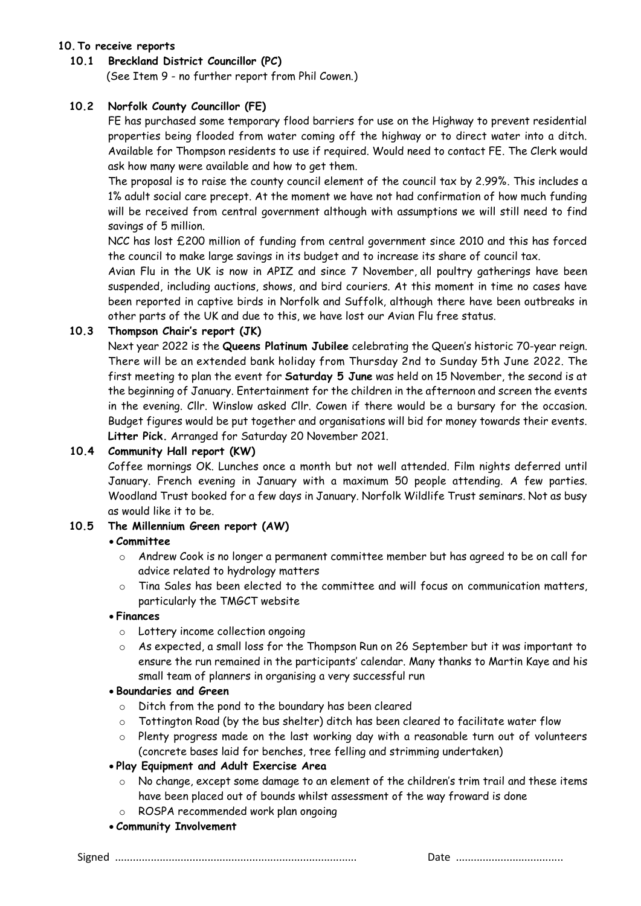# **10.To receive reports**

# **10.1 Breckland District Councillor (PC)**

(See Item 9 - no further report from Phil Cowen.)

# **10.2 Norfolk County Councillor (FE)**

FE has purchased some temporary flood barriers for use on the Highway to prevent residential properties being flooded from water coming off the highway or to direct water into a ditch. Available for Thompson residents to use if required. Would need to contact FE. The Clerk would ask how many were available and how to get them.

The proposal is to raise the county council element of the council tax by 2.99%. This includes a 1% adult social care precept. At the moment we have not had confirmation of how much funding will be received from central government although with assumptions we will still need to find savings of 5 million.

NCC has lost £200 million of funding from central government since 2010 and this has forced the council to make large savings in its budget and to increase its share of council tax.

Avian Flu in the UK is now in APIZ and since 7 November, all poultry gatherings have been suspended, including auctions, shows, and bird couriers. At this moment in time no cases have been reported in captive birds in Norfolk and Suffolk, although there have been outbreaks in other parts of the UK and due to this, we have lost our Avian Flu free status.

# **10.3 Thompson Chair's report (JK)**

Next year 2022 is the **Queens Platinum Jubilee** celebrating the Queen's historic 70-year reign. There will be an extended bank holiday from Thursday 2nd to Sunday 5th June 2022. The first meeting to plan the event for **Saturday 5 June** was held on 15 November, the second is at the beginning of January. Entertainment for the children in the afternoon and screen the events in the evening. Cllr. Winslow asked Cllr. Cowen if there would be a bursary for the occasion. Budget figures would be put together and organisations will bid for money towards their events. **Litter Pick.** Arranged for Saturday 20 November 2021.

# **10.4 Community Hall report (KW)**

Coffee mornings OK. Lunches once a month but not well attended. Film nights deferred until January. French evening in January with a maximum 50 people attending. A few parties. Woodland Trust booked for a few days in January. Norfolk Wildlife Trust seminars. Not as busy as would like it to be.

# **10.5 The Millennium Green report (AW)**

# • **Committee**

- o Andrew Cook is no longer a permanent committee member but has agreed to be on call for advice related to hydrology matters
- o Tina Sales has been elected to the committee and will focus on communication matters, particularly the TMGCT website

# • **Finances**

- o Lottery income collection ongoing
- $\circ$  As expected, a small loss for the Thompson Run on 26 September but it was important to ensure the run remained in the participants' calendar. Many thanks to Martin Kaye and his small team of planners in organising a very successful run

# • **Boundaries and Green**

- o Ditch from the pond to the boundary has been cleared
- o Tottington Road (by the bus shelter) ditch has been cleared to facilitate water flow
- o Plenty progress made on the last working day with a reasonable turn out of volunteers (concrete bases laid for benches, tree felling and strimming undertaken)
- **Play Equipment and Adult Exercise Area**
	- $\circ$  No change, except some damage to an element of the children's trim trail and these items have been placed out of bounds whilst assessment of the way froward is done
	- o ROSPA recommended work plan ongoing
- **Community Involvement**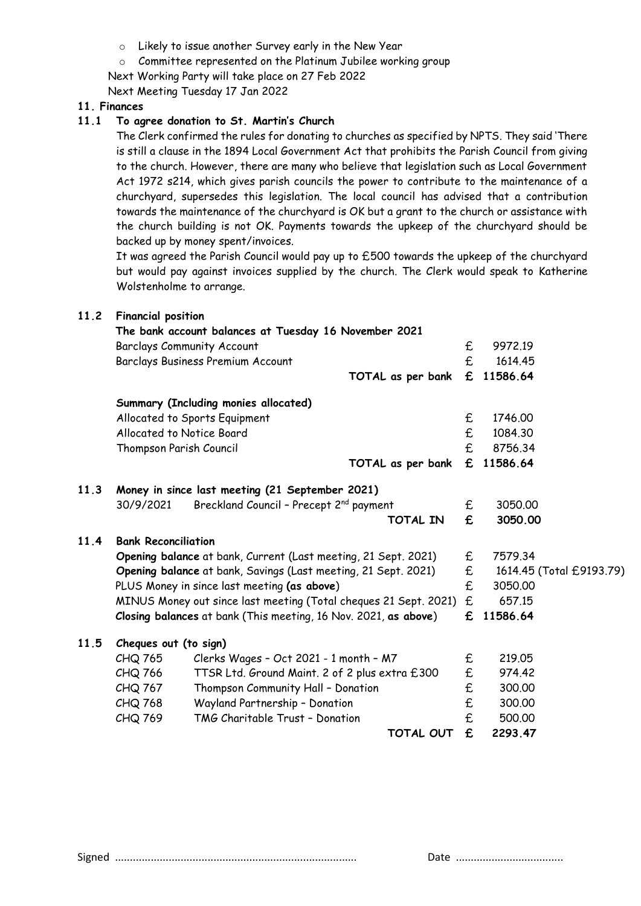- o Likely to issue another Survey early in the New Year
- o Committee represented on the Platinum Jubilee working group
- Next Working Party will take place on 27 Feb 2022

Next Meeting Tuesday 17 Jan 2022

# **11. Finances**

# **11.1 To agree donation to St. Martin's Church**

The Clerk confirmed the rules for donating to churches as specified by NPTS. They said 'There is still a clause in the 1894 Local Government Act that prohibits the Parish Council from giving to the church. However, there are many who believe that legislation such as Local Government Act 1972 s214, which gives parish councils the power to contribute to the maintenance of a churchyard, supersedes this legislation. The local council has advised that a contribution towards the maintenance of the churchyard is OK but a grant to the church or assistance with the church building is not OK. Payments towards the upkeep of the churchyard should be backed up by money spent/invoices.

It was agreed the Parish Council would pay up to £500 towards the upkeep of the churchyard but would pay against invoices supplied by the church. The Clerk would speak to Katherine Wolstenholme to arrange.

# **11.2 Financial position**

|      |                            | The bank account balances at Tuesday 16 November 2021            |                   |                  |                          |
|------|----------------------------|------------------------------------------------------------------|-------------------|------------------|--------------------------|
|      |                            | <b>Barclays Community Account</b>                                |                   | £                | 9972.19                  |
|      |                            | Barclays Business Premium Account                                |                   | £                | 1614.45                  |
|      |                            |                                                                  | TOTAL as per bank | £                | 11586.64                 |
|      |                            | Summary (Including monies allocated)                             |                   |                  |                          |
|      |                            | Allocated to Sports Equipment                                    |                   | £                | 1746.00                  |
|      | Allocated to Notice Board  |                                                                  |                   | £                | 1084.30                  |
|      | Thompson Parish Council    |                                                                  |                   | £                | 8756.34                  |
|      |                            |                                                                  | TOTAL as per bank | £                | 11586.64                 |
| 11.3 |                            | Money in since last meeting (21 September 2021)                  |                   |                  |                          |
|      | 30/9/2021                  | Breckland Council - Precept 2 <sup>nd</sup> payment              |                   | £                | 3050.00                  |
|      |                            |                                                                  | <b>TOTAL IN</b>   | £                | 3050.00                  |
| 11.4 | <b>Bank Reconciliation</b> |                                                                  |                   |                  |                          |
|      |                            | Opening balance at bank, Current (Last meeting, 21 Sept. 2021)   |                   | £                | 7579.34                  |
|      |                            | Opening balance at bank, Savings (Last meeting, 21 Sept. 2021)   |                   | £                | 1614.45 (Total £9193.79) |
|      |                            | PLUS Money in since last meeting (as above)                      |                   | £                | 3050.00                  |
|      |                            | MINUS Money out since last meeting (Total cheques 21 Sept. 2021) |                   | £.               | 657.15                   |
|      |                            | Closing balances at bank (This meeting, 16 Nov. 2021, as above)  |                   | £                | 11586.64                 |
| 11.5 | Cheques out (to sign)      |                                                                  |                   |                  |                          |
|      | CHQ 765                    | Clerks Wages - Oct 2021 - 1 month - M7                           |                   | £                | 219.05                   |
|      | CHQ 766                    | TTSR Ltd. Ground Maint. 2 of 2 plus extra £300                   |                   | £                | 974.42                   |
|      | CHQ 767                    | Thompson Community Hall - Donation                               |                   | $\pmb{\epsilon}$ | 300.00                   |
|      | CHQ 768                    | Wayland Partnership - Donation                                   |                   | $\pmb{\epsilon}$ | 300.00                   |
|      | CHQ 769                    | TMG Charitable Trust - Donation                                  |                   | £                | 500.00                   |
|      |                            |                                                                  | <b>TOTAL OUT</b>  | £                | 2293.47                  |
|      |                            |                                                                  |                   |                  |                          |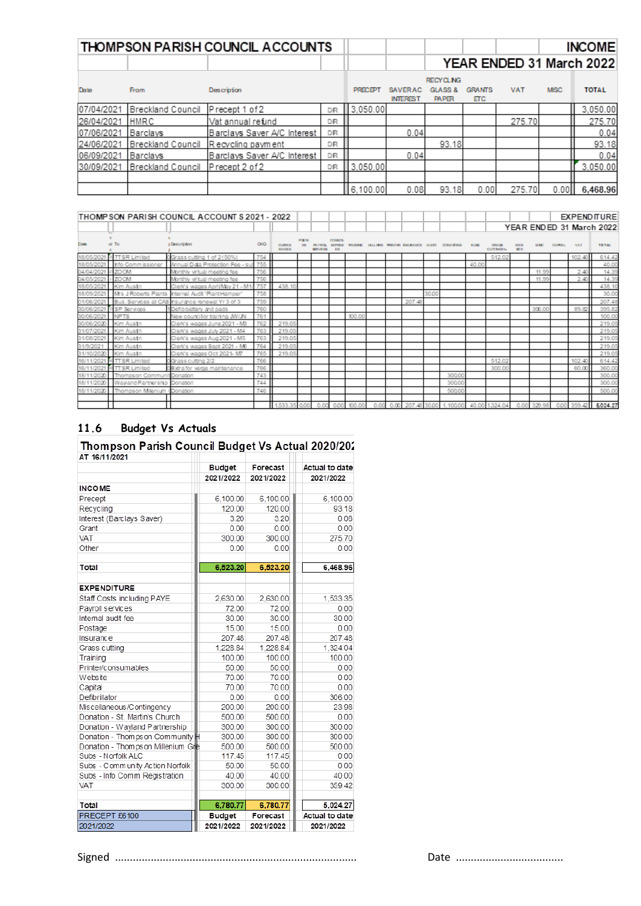|            |                   | <b>THOMPSON PARISH COUNCIL ACCOUNTS</b> |     |                |                                   |                         |                       |            |                          | <b>INCOME</b> |  |
|------------|-------------------|-----------------------------------------|-----|----------------|-----------------------------------|-------------------------|-----------------------|------------|--------------------------|---------------|--|
|            |                   |                                         |     |                |                                   |                         |                       |            | YEAR ENDED 31 March 2022 |               |  |
|            |                   |                                         |     |                |                                   | <b>RECYCLING</b>        |                       |            |                          |               |  |
| Date       | <b>From</b>       | Description                             |     | <b>PRECEPT</b> | <b>SAVERAC</b><br><b>INTEREST</b> | GLASS &<br><b>PAPER</b> | <b>GRANTS</b><br>ETC. | <b>VAT</b> | <b>MISC</b>              | <b>TOTAL</b>  |  |
| 07/04/2021 | Breckland Council | Precept 1 of 2                          | DR  | 3.050.00       |                                   |                         |                       |            |                          | 3.050.00      |  |
| 26/04/2021 | <b>HMRC</b>       | Vat annual refund                       | DR  |                |                                   |                         |                       | 275.70     |                          | 275.70        |  |
| 07/06/2021 | Barclays          | Barclays Saver A/C Interest             | DR  |                | 0.04                              |                         |                       |            |                          | 0.04          |  |
| 24/06/2021 |                   | Breckland Council Recycling payment     | DR  |                |                                   | 93.18                   |                       |            |                          | 93.18         |  |
| 06/09/2021 | Barclays          | Barclays Saver A/C Interest             | DR  |                | 0.04                              |                         |                       |            |                          | 0.04          |  |
| 30/09/2021 | Breckland Council | Precept 2 of 2                          | DR. | 3.050.00       |                                   |                         |                       |            |                          | 3.050.00      |  |
|            |                   |                                         |     |                |                                   |                         |                       |            |                          |               |  |
|            |                   |                                         |     | 6,100.00       | 0.08                              | 93.18                   | 0.00                  | 275.70     | 0.00                     | 6,468.96      |  |

# 

|                   |                                         |                                                              |            |                                 |                           |                      |               |        |  |        |       |                                                                     |       |                                  |            |        |         |            | <b>I DAN END ED 31 INGION ZUZZ</b>                                             |
|-------------------|-----------------------------------------|--------------------------------------------------------------|------------|---------------------------------|---------------------------|----------------------|---------------|--------|--|--------|-------|---------------------------------------------------------------------|-------|----------------------------------|------------|--------|---------|------------|--------------------------------------------------------------------------------|
| <b>Dote</b>       | ol To                                   | <b>c</b> Description                                         | <b>OIO</b> | <b>CLIRKS</b><br><b>WARDLER</b> | POUR BA<br>$\overline{C}$ | <b>NEWSTERN R.W.</b> | <b>COUNCE</b> |        |  |        |       | PAYROL ISPINS WARRIE HALLING PRINTIN BELIAUSE ALDIT DONATIONS SLIGH |       | <b>CRASH</b><br>CUTTINGEL, SETT. | <b>WER</b> | MIRE.  | CAPITAL | <b>VAT</b> | TO TAL                                                                         |
| 18/05/2021        | <sup>36</sup> TT SR Limited             | OGrass cutting 1 of 2 (50%)                                  | 754        |                                 |                           |                      |               |        |  |        |       |                                                                     |       | 512.02                           |            |        |         | 102.40     | 614.42                                                                         |
| 18/05/2021        | Info Commissioner                       | Annual Diata Protection Fee - sub                            | 755        |                                 |                           |                      |               |        |  |        |       |                                                                     | 40.00 |                                  |            |        |         |            | 40.00                                                                          |
| 04/04/2021 2 ZOOM |                                         | Monthly virtual meeting fee                                  | 756        |                                 |                           |                      |               |        |  |        |       |                                                                     |       |                                  |            | 11.99  |         | 2.40       | 14.39                                                                          |
| 04/05/2021 + ZOOM |                                         | Monthly virtual meeting fee                                  | 756        |                                 |                           |                      |               |        |  |        |       |                                                                     |       |                                  |            | 11.99  |         | 2.40       | 14.39                                                                          |
|                   | 18/05/2021 Kim Austn                    | Clerk's wages April/May 21 - M1/ 757                         |            | 438.10                          |                           |                      |               |        |  |        |       |                                                                     |       |                                  |            |        |         |            | 438.10                                                                         |
|                   |                                         | 18/09/2021 Mrs J Roberts Plants Internal Audit 'PlantHamper' | 758        |                                 |                           |                      |               |        |  |        | 30.00 |                                                                     |       |                                  |            |        |         |            | 30.00                                                                          |
| 01/06/2021        |                                         | Bus, Services at CAS insurance renewal Yr 3 of 3             | 759        |                                 |                           |                      |               |        |  | 207.48 |       |                                                                     |       |                                  |            |        |         |            | 207.48                                                                         |
| 30/06/2021        | <sup>51</sup> SP Services               | Defibbattery and pads                                        | 760        |                                 |                           |                      |               |        |  |        |       |                                                                     |       |                                  |            | 306.00 |         | 89.82      | 395.82                                                                         |
| 30/06/2021        | <b>NPTS</b>                             | New councillor training JW/JN                                | 761        |                                 |                           |                      |               | 100.00 |  |        |       |                                                                     |       |                                  |            |        |         |            | 100.00                                                                         |
|                   | 30/06/2020 Kim Austn                    | Clerk's wages June 2021 - MB                                 | 762        | 219.05                          |                           |                      |               |        |  |        |       |                                                                     |       |                                  |            |        |         |            | 219.05                                                                         |
| 31/07/2021        | Kim Austn                               | Clerk's wages July 2021 - M4                                 | 763        | 219.05                          |                           |                      |               |        |  |        |       |                                                                     |       |                                  |            |        |         |            | 219.05                                                                         |
| 31/08/2021        | Kim Austn                               | Clerk's wages Aug 2021 - M5                                  | 763        | 219.05                          |                           |                      |               |        |  |        |       |                                                                     |       |                                  |            |        |         |            | 219.05                                                                         |
| 31/9/2021         | Kim Austn                               | Clerk's wages Sept 2021 - M6                                 | 764        | 219.05                          |                           |                      |               |        |  |        |       |                                                                     |       |                                  |            |        |         |            | 219.05                                                                         |
|                   | 31/10/2020 Kim Austn                    | Clerk's wages Oct 2021- M7                                   | 765        | 219.05                          |                           |                      |               |        |  |        |       |                                                                     |       |                                  |            |        |         |            | 219.05                                                                         |
|                   | 16/11/2021 <sup>M</sup> TT SR Limited   | OGrass cutting 2/2                                           | 766        |                                 |                           |                      |               |        |  |        |       |                                                                     |       | 512.02                           |            |        |         | 102.40     | 614.42                                                                         |
|                   | 16/11/2021 <sup>M</sup> TTSR Limited    | DExtra for verge maintenance                                 | 766        |                                 |                           |                      |               |        |  |        |       |                                                                     |       | 300.00                           |            |        |         | 60.00      | 360.00                                                                         |
| 18/11/2020        | Thompson CommunitDonation               |                                                              | 743        |                                 |                           |                      |               |        |  |        |       | 300.00                                                              |       |                                  |            |        |         |            | 300.00                                                                         |
|                   | 18/11/2020 Wayland Partnership Donation |                                                              | 744        |                                 |                           |                      |               |        |  |        |       | 300.00                                                              |       |                                  |            |        |         |            | 300.00                                                                         |
|                   | 18/11/2020 Thompson Milenium (Donation  |                                                              | 746        |                                 |                           |                      |               |        |  |        |       | 500.00                                                              |       |                                  |            |        |         |            | 500.00                                                                         |
|                   |                                         |                                                              |            |                                 |                           |                      |               |        |  |        |       |                                                                     |       |                                  |            |        |         |            |                                                                                |
|                   |                                         |                                                              |            | 1,533.35 0.00                   |                           |                      | 0.00 0.00     | 100.00 |  |        |       |                                                                     |       |                                  |            |        |         |            | 0.00 0.00 207.48 30.00 1.100.00 40.00 1.324.04 0.00 329.98 0.00 359.42 6024.27 |

#### **Budget Vs Actuals** 11.6

# Thompson Parish Council Budget Vs Actual 2020/202

| AT 16/11/2021                       |               |           |                |
|-------------------------------------|---------------|-----------|----------------|
|                                     | <b>Budget</b> | Forecast  | Actual to date |
|                                     | 2021/2022     | 2021/2022 | 2021/2022      |
| <b>INCOME</b>                       |               |           |                |
| Precept                             | 6.100.00      | 6.100.00  | 6,100.00       |
| Recycling                           | 120.00        | 120.00    | 93.18          |
| Interest (Barclays Saver)           | 3.20          | 3.20      | 0.08           |
| Grant                               | 0.00          | 0.00      | 0.00           |
| VAT                                 | 300.00        | 300.00    | 275.70         |
| Other                               | 0.00          | 0.00      | 0.00           |
| Total                               | 6,523.20      | 6,523.20  | 6,468.96       |
| <b>EXPENDITURE</b>                  |               |           |                |
| Staff Costs including PAYE          | 2.630.00      | 2.630.00  | 1,533.35       |
| Payroll services                    | 72.00         | 72.00     | 0.00           |
| Internal audit fee                  | 30.00         | 30.00     | 30.00          |
| Postage                             | 15.00         | 15.00     | 0.00           |
| Insurance                           | 207.48        | 207.48    | 207.48         |
| Grass cutting                       | 1.228.84      | 1.228.84  | 1.324.04       |
| Training                            | 100.00        | 100.00    | 100.00         |
| Printer/consumables                 | 50.00         | 50.00     | 0.00           |
| Website                             | 70.00         | 70.00     | 0.00           |
| Capital                             | 70.00         | 70.00     | 0.00           |
| Defibrillator                       | 0.00          | 0.00      | 306.00         |
| Miscellaneous/Contingency           | 200.00        | 200.00    | 23.98          |
| Donation - St. Martin's Church      | 500.00        | 500.00    | 0.00           |
| Donation - Wayland Partnership      | 300.00        | 300.00    | 300.00         |
| Donation - Thompson Community       | 300.00        | 300.00    | 300.00         |
| Donation - Thom ps on Millenium Gre | 500.00        | 500.00    | 500.00         |
| Subs - Norfolk ALC                  | 117.45        | 117.45    | 0.00           |
| Subs - Community Action Norfolk     | 50.00         | 50.00     | 0.00           |
| Subs - Info Comm Registration       | 40.00         | 40.00     | 40.00          |
| VAT                                 | 300.00        | 300.00    | 359.42         |
| Total                               | 6,780.77      | 6,780.77  | 5,024.27       |
| PRECEPT £6100                       | <b>Budget</b> | Forecast  | Actual to date |
| 2021/2022                           | 2021/2022     | 2021/2022 | 2021/2022      |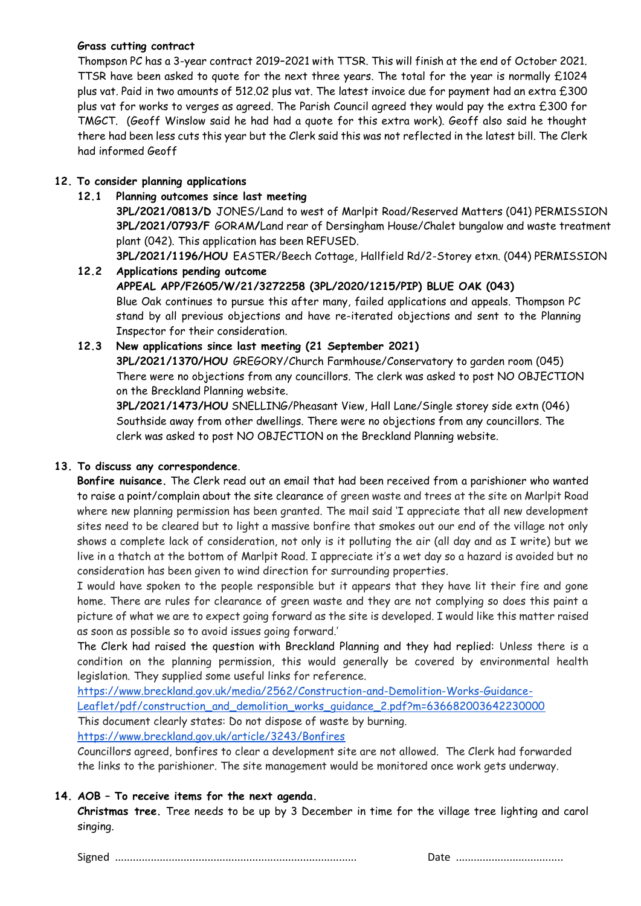# **Grass cutting contract**

Thompson PC has a 3-year contract 2019–2021 with TTSR. This will finish at the end of October 2021. TTSR have been asked to quote for the next three years. The total for the year is normally £1024 plus vat. Paid in two amounts of 512.02 plus vat. The latest invoice due for payment had an extra £300 plus vat for works to verges as agreed. The Parish Council agreed they would pay the extra £300 for TMGCT. (Geoff Winslow said he had had a quote for this extra work). Geoff also said he thought there had been less cuts this year but the Clerk said this was not reflected in the latest bill. The Clerk had informed Geoff

# **12. To consider planning applications**

# **12.1 Planning outcomes since last meeting**

**3PL/2021/0813/D** JONES/Land to west of Marlpit Road/Reserved Matters (041) PERMISSION **3PL/2021/0793/F** GORAM**/**Land rear of Dersingham House/Chalet bungalow and waste treatment plant (042). This application has been REFUSED.

**3PL/2021/1196/HOU** EASTER/Beech Cottage, Hallfield Rd/2-Storey etxn. (044) PERMISSION

# **12.2 Applications pending outcome APPEAL APP/F2605/W/21/3272258 (3PL/2020/1215/PIP) BLUE OAK (043)**  Blue Oak continues to pursue this after many, failed applications and appeals. Thompson PC stand by all previous objections and have re-iterated objections and sent to the Planning Inspector for their consideration. **12.3 New applications since last meeting (21 September 2021) 3PL/2021/1370/HOU** GREGORY/Church Farmhouse/Conservatory to garden room (045)

There were no objections from any councillors. The clerk was asked to post NO OBJECTION on the Breckland Planning website.

**3PL/2021/1473/HOU** SNELLING/Pheasant View, Hall Lane/Single storey side extn (046) Southside away from other dwellings. There were no objections from any councillors. The clerk was asked to post NO OBJECTION on the Breckland Planning website.

# **13. To discuss any correspondence**.

**Bonfire nuisance.** The Clerk read out an email that had been received from a parishioner who wanted to raise a point/complain about the site clearance of green waste and trees at the site on Marlpit Road where new planning permission has been granted. The mail said 'I appreciate that all new development sites need to be cleared but to light a massive bonfire that smokes out our end of the village not only shows a complete lack of consideration, not only is it polluting the air (all day and as I write) but we live in a thatch at the bottom of Marlpit Road. I appreciate it's a wet day so a hazard is avoided but no consideration has been given to wind direction for surrounding properties.

I would have spoken to the people responsible but it appears that they have lit their fire and gone home. There are rules for clearance of green waste and they are not complying so does this paint a picture of what we are to expect going forward as the site is developed. I would like this matter raised as soon as possible so to avoid issues going forward.'

The Clerk had raised the question with Breckland Planning and they had replied: Unless there is a condition on the planning permission, this would generally be covered by environmental health legislation. They supplied some useful links for reference.

[https://www.breckland.gov.uk/media/2562/Construction-and-Demolition-Works-Guidance-](https://www.breckland.gov.uk/media/2562/Construction-and-Demolition-Works-Guidance-Leaflet/pdf/construction_and_demolition_works_guidance_2.pdf?m=636682003642230000)[Leaflet/pdf/construction\\_and\\_demolition\\_works\\_guidance\\_2.pdf?m=636682003642230000](https://www.breckland.gov.uk/media/2562/Construction-and-Demolition-Works-Guidance-Leaflet/pdf/construction_and_demolition_works_guidance_2.pdf?m=636682003642230000) This document clearly states: Do not dispose of waste by burning. <https://www.breckland.gov.uk/article/3243/Bonfires>

Councillors agreed, bonfires to clear a development site are not allowed. The Clerk had forwarded the links to the parishioner. The site management would be monitored once work gets underway.

# **14. AOB – To receive items for the next agenda.**

**Christmas tree.** Tree needs to be up by 3 December in time for the village tree lighting and carol singing.